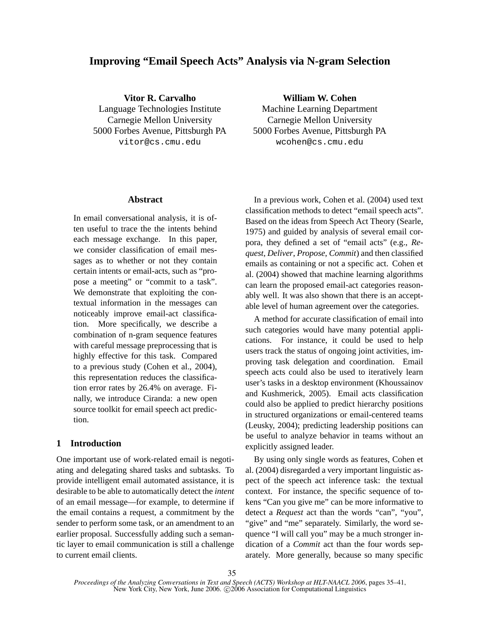# **Improving "Email Speech Acts" Analysis via N-gram Selection**

**Vitor R. Carvalho** Language Technologies Institute Carnegie Mellon University 5000 Forbes Avenue, Pittsburgh PA vitor@cs.cmu.edu

#### **Abstract**

In email conversational analysis, it is often useful to trace the the intents behind each message exchange. In this paper, we consider classification of email messages as to whether or not they contain certain intents or email-acts, such as "propose a meeting" or "commit to a task". We demonstrate that exploiting the contextual information in the messages can noticeably improve email-act classification. More specifically, we describe a combination of n-gram sequence features with careful message preprocessing that is highly effective for this task. Compared to a previous study (Cohen et al., 2004), this representation reduces the classification error rates by 26.4% on average. Finally, we introduce Ciranda: a new open source toolkit for email speech act prediction.

#### **1 Introduction**

One important use of work-related email is negotiating and delegating shared tasks and subtasks. To provide intelligent email automated assistance, it is desirable to be able to automatically detect the *intent* of an email message—for example, to determine if the email contains a request, a commitment by the sender to perform some task, or an amendment to an earlier proposal. Successfully adding such a semantic layer to email communication is still a challenge to current email clients.

**William W. Cohen** Machine Learning Department Carnegie Mellon University 5000 Forbes Avenue, Pittsburgh PA wcohen@cs.cmu.edu

In a previous work, Cohen et al. (2004) used text classification methods to detect "email speech acts". Based on the ideas from Speech Act Theory (Searle, 1975) and guided by analysis of several email corpora, they defined a set of "email acts" (e.g., *Request*, *Deliver*, *Propose*, *Commit*) and then classified emails as containing or not a specific act. Cohen et al. (2004) showed that machine learning algorithms can learn the proposed email-act categories reasonably well. It was also shown that there is an acceptable level of human agreement over the categories.

A method for accurate classification of email into such categories would have many potential applications. For instance, it could be used to help users track the status of ongoing joint activities, improving task delegation and coordination. Email speech acts could also be used to iteratively learn user's tasks in a desktop environment (Khoussainov and Kushmerick, 2005). Email acts classification could also be applied to predict hierarchy positions in structured organizations or email-centered teams (Leusky, 2004); predicting leadership positions can be useful to analyze behavior in teams without an explicitly assigned leader.

By using only single words as features, Cohen et al. (2004) disregarded a very important linguistic aspect of the speech act inference task: the textual context. For instance, the specific sequence of tokens "Can you give me" can be more informative to detect a *Request* act than the words "can", "you", "give" and "me" separately. Similarly, the word sequence "I will call you" may be a much stronger indication of a *Commit* act than the four words separately. More generally, because so many specific

*Proceedings of the Analyzing Conversations in Text and Speech (ACTS) Workshop at HLT-NAACL 2006*, pages 35–41, New York City, New York, June 2006. C 2006 Association for Computational Linguistics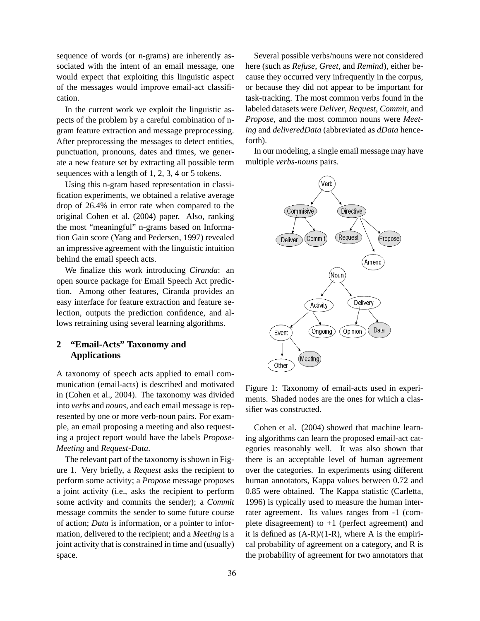sequence of words (or n-grams) are inherently associated with the intent of an email message, one would expect that exploiting this linguistic aspect of the messages would improve email-act classification.

In the current work we exploit the linguistic aspects of the problem by a careful combination of ngram feature extraction and message preprocessing. After preprocessing the messages to detect entities, punctuation, pronouns, dates and times, we generate a new feature set by extracting all possible term sequences with a length of 1, 2, 3, 4 or 5 tokens.

Using this n-gram based representation in classification experiments, we obtained a relative average drop of 26.4% in error rate when compared to the original Cohen et al. (2004) paper. Also, ranking the most "meaningful" n-grams based on Information Gain score (Yang and Pedersen, 1997) revealed an impressive agreement with the linguistic intuition behind the email speech acts.

We finalize this work introducing *Ciranda*: an open source package for Email Speech Act prediction. Among other features, Ciranda provides an easy interface for feature extraction and feature selection, outputs the prediction confidence, and allows retraining using several learning algorithms.

## **2 "Email-Acts" Taxonomy and Applications**

A taxonomy of speech acts applied to email communication (email-acts) is described and motivated in (Cohen et al., 2004). The taxonomy was divided into *verbs* and *nouns*, and each email message is represented by one or more verb-noun pairs. For example, an email proposing a meeting and also requesting a project report would have the labels *Propose*-*Meeting* and *Request*-*Data*.

The relevant part of the taxonomy is shown in Figure 1. Very briefly, a *Request* asks the recipient to perform some activity; a *Propose* message proposes a joint activity (i.e., asks the recipient to perform some activity and commits the sender); a *Commit* message commits the sender to some future course of action; *Data* is information, or a pointer to information, delivered to the recipient; and a *Meeting* is a joint activity that is constrained in time and (usually) space.

Several possible verbs/nouns were not considered here (such as *Refuse*, *Greet*, and *Remind*), either because they occurred very infrequently in the corpus, or because they did not appear to be important for task-tracking. The most common verbs found in the labeled datasets were *Deliver*, *Request*, *Commit*, and *Propose*, and the most common nouns were *Meeting* and *deliveredData* (abbreviated as *dData* henceforth).

In our modeling, a single email message may have multiple *verbs*-*nouns* pairs.



Figure 1: Taxonomy of email-acts used in experiments. Shaded nodes are the ones for which a classifier was constructed.

Cohen et al. (2004) showed that machine learning algorithms can learn the proposed email-act categories reasonably well. It was also shown that there is an acceptable level of human agreement over the categories. In experiments using different human annotators, Kappa values between 0.72 and 0.85 were obtained. The Kappa statistic (Carletta, 1996) is typically used to measure the human interrater agreement. Its values ranges from -1 (complete disagreement) to  $+1$  (perfect agreement) and it is defined as  $(A-R)/(1-R)$ , where A is the empirical probability of agreement on a category, and R is the probability of agreement for two annotators that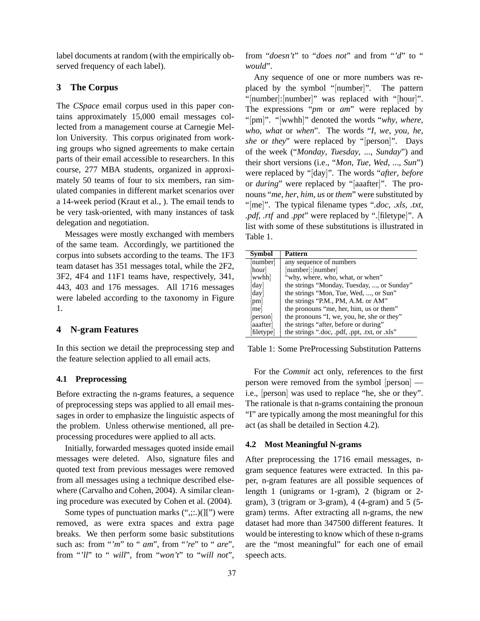label documents at random (with the empirically observed frequency of each label).

### **3 The Corpus**

The *CSpace* email corpus used in this paper contains approximately 15,000 email messages collected from a management course at Carnegie Mellon University. This corpus originated from working groups who signed agreements to make certain parts of their email accessible to researchers. In this course, 277 MBA students, organized in approximately 50 teams of four to six members, ran simulated companies in different market scenarios over a 14-week period (Kraut et al., ). The email tends to be very task-oriented, with many instances of task delegation and negotiation.

Messages were mostly exchanged with members of the same team. Accordingly, we partitioned the corpus into subsets according to the teams. The 1F3 team dataset has 351 messages total, while the 2F2, 3F2, 4F4 and 11F1 teams have, respectively, 341, 443, 403 and 176 messages. All 1716 messages were labeled according to the taxonomy in Figure 1.

### **4 N-gram Features**

In this section we detail the preprocessing step and the feature selection applied to all email acts.

### **4.1 Preprocessing**

Before extracting the n-grams features, a sequence of preprocessing steps was applied to all email messages in order to emphasize the linguistic aspects of the problem. Unless otherwise mentioned, all preprocessing procedures were applied to all acts.

Initially, forwarded messages quoted inside email messages were deleted. Also, signature files and quoted text from previous messages were removed from all messages using a technique described elsewhere (Carvalho and Cohen, 2004). A similar cleaning procedure was executed by Cohen et al. (2004).

Some types of punctuation marks  $(\lq;$ ... $)($ ][") were removed, as were extra spaces and extra page breaks. We then perform some basic substitutions such as: from "*'m*" to " *am*", from "*'re*" to " *are*", from "*'ll*" to " *will*", from "*won't*" to "*will not*", from "*doesn't*" to "*does not*" and from "*'d*" to " *would*".

Any sequence of one or more numbers was replaced by the symbol "[number]". The pattern "[number]:[number]" was replaced with "[hour]". The expressions "*pm* or *am*" were replaced by "[pm]". "[wwhh]" denoted the words "*why*, *where*, *who*, *what* or *when*". The words "*I*, *we*, *you*, *he*, *she* or *they*" were replaced by "[person]". Days of the week ("*Monday*, *Tuesday*, ..., *Sunday*") and their short versions (i.e., "*Mon*, *Tue*, *Wed*, ..., *Sun*") were replaced by "[day]". The words "*after*, *before* or *during*" were replaced by "[aaafter]". The pronouns "*me*, *her*, *him*, *us* or *them*" were substituted by "[me]". The typical filename types "*.doc, .xls, .txt, .pdf, .rtf* and *.ppt*" were replaced by ".[filetype]". A list with some of these substitutions is illustrated in Table 1.

| <b>Symbol</b> | Pattern                                       |
|---------------|-----------------------------------------------|
| [number]      | any sequence of numbers                       |
| [hour]        | [number]:[number]                             |
| wwhh          | "why, where, who, what, or when"              |
| day           | the strings "Monday, Tuesday, , or Sunday"    |
| [day]         | the strings "Mon, Tue, Wed, , or Sun"         |
| [pm]          | the strings "P.M., PM, A.M. or AM"            |
| mel           | the pronouns "me, her, him, us or them"       |
| [person]      | the pronouns "I, we, you, he, she or they"    |
| [aaafter]     | the strings "after, before or during"         |
| filetype      | the strings ".doc, .pdf, .ppt, .txt, or .xls" |

Table 1: Some PreProcessing Substitution Patterns

For the *Commit* act only, references to the first person were removed from the symbol [person] i.e., [person] was used to replace "he, she or they". The rationale is that n-grams containing the pronoun "I" are typically among the most meaningful for this act (as shall be detailed in Section 4.2).

#### **4.2 Most Meaningful N-grams**

After preprocessing the 1716 email messages, ngram sequence features were extracted. In this paper, n-gram features are all possible sequences of length 1 (unigrams or 1-gram), 2 (bigram or 2 gram), 3 (trigram or 3-gram), 4 (4-gram) and 5 (5 gram) terms. After extracting all n-grams, the new dataset had more than 347500 different features. It would be interesting to know which of these n-grams are the "most meaningful" for each one of email speech acts.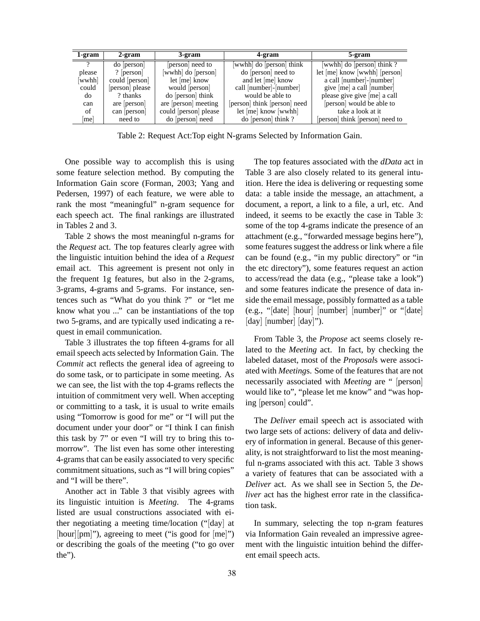| 1-gram   | 2-gram          | 3-gram               | 4-gram                       | 5-gram                          |
|----------|-----------------|----------------------|------------------------------|---------------------------------|
| $\gamma$ | do [person]     | person need to       | wwhh do person think         | wwhh do person think?           |
| please   | ? $[person]$    | wwhh do [person]     | do [person] need to          | let [me] know [wwhh] [person]   |
| wwhh]    | could [person]  | let $[me]$ know      | and let [me] know            | a call [number]-[number]        |
| could    | [person] please | would [person]       | call [number]-[number]       | give [me] a call [number]       |
| do       | ? thanks        | do [person] think    | would be able to             | please give give [me] a call    |
| can      | are person      | are [person] meeting | [person] think [person] need | [person] would be able to       |
| of       | can   person    | could person please  | let [me] know [wwhh]         | take a look at it               |
| me       | need to         | do [person] need     | $\alpha$ [person] think ?    | [person] think [person] need to |

Table 2: Request Act:Top eight N-grams Selected by Information Gain.

One possible way to accomplish this is using some feature selection method. By computing the Information Gain score (Forman, 2003; Yang and Pedersen, 1997) of each feature, we were able to rank the most "meaningful" n-gram sequence for each speech act. The final rankings are illustrated in Tables 2 and 3.

Table 2 shows the most meaningful n-grams for the *Request* act. The top features clearly agree with the linguistic intuition behind the idea of a *Request* email act. This agreement is present not only in the frequent 1g features, but also in the 2-grams, 3-grams, 4-grams and 5-grams. For instance, sentences such as "What do you think ?" or "let me know what you ..." can be instantiations of the top two 5-grams, and are typically used indicating a request in email communication.

Table 3 illustrates the top fifteen 4-grams for all email speech acts selected by Information Gain. The *Commit* act reflects the general idea of agreeing to do some task, or to participate in some meeting. As we can see, the list with the top 4-grams reflects the intuition of commitment very well. When accepting or committing to a task, it is usual to write emails using "Tomorrow is good for me" or "I will put the document under your door" or "I think I can finish this task by 7" or even "I will try to bring this tomorrow". The list even has some other interesting 4-grams that can be easily associated to very specific commitment situations, such as "I will bring copies" and "I will be there".

Another act in Table 3 that visibly agrees with its linguistic intuition is *Meeting*. The 4-grams listed are usual constructions associated with either negotiating a meeting time/location ("[day] at [hour][pm]"), agreeing to meet ("is good for [me]") or describing the goals of the meeting ("to go over the").

The top features associated with the *dData* act in Table 3 are also closely related to its general intuition. Here the idea is delivering or requesting some data: a table inside the message, an attachment, a document, a report, a link to a file, a url, etc. And indeed, it seems to be exactly the case in Table 3: some of the top 4-grams indicate the presence of an attachment (e.g., "forwarded message begins here"), some features suggest the address or link where a file can be found (e.g., "in my public directory" or "in the etc directory"), some features request an action to access/read the data (e.g., "please take a look") and some features indicate the presence of data inside the email message, possibly formatted as a table (e.g., "[date] [hour] [number] [number]" or "[date] [day] [number] [day]").

From Table 3, the *Propose* act seems closely related to the *Meeting* act. In fact, by checking the labeled dataset, most of the *Proposal*s were associated with *Meeting*s. Some of the features that are not necessarily associated with *Meeting* are " [person] would like to", "please let me know" and "was hoping [person] could".

The *Deliver* email speech act is associated with two large sets of actions: delivery of data and delivery of information in general. Because of this generality, is not straightforward to list the most meaningful n-grams associated with this act. Table 3 shows a variety of features that can be associated with a *Deliver* act. As we shall see in Section 5, the *Deliver* act has the highest error rate in the classification task.

In summary, selecting the top n-gram features via Information Gain revealed an impressive agreement with the linguistic intuition behind the different email speech acts.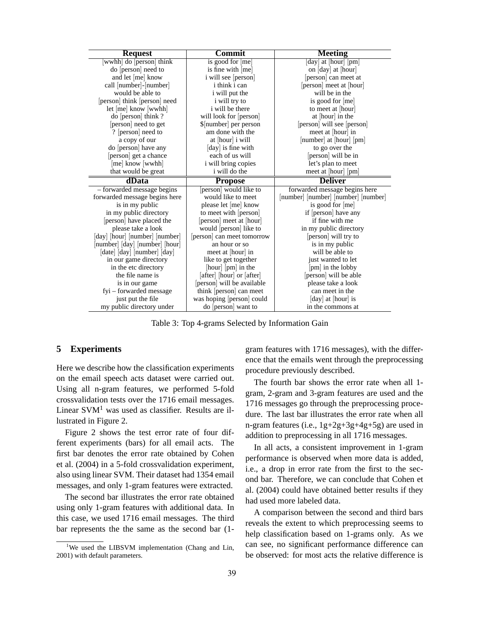| <b>Request</b>                 | Commit                      | <b>Meeting</b>                      |
|--------------------------------|-----------------------------|-------------------------------------|
| wwhh do [person] think         | is good for [me]            | day at [hour] [pm]                  |
| do [person] need to            | is fine with [me]           | on [day] at [hour]                  |
| and let [me] know              | i will see [person]         | [person] can meet at                |
| call [number]-[number]         | <i>i</i> think <i>i</i> can | [person] meet at [hour]             |
| would be able to               | <i>i</i> will put the       | will be in the                      |
| [person] think [person] need   | i will try to               | is good for [me]                    |
| $let[me]$ know $[www]$         | i will be there             | to meet at [hour]                   |
| do [person] think?             | will look for [person]      | at [hour] in the                    |
| [person] need to get           | \$[number] per person       | [person] will see [person]          |
| ? [person] need to             | am done with the            | meet at [hour] in                   |
| a copy of our                  | at [hour] i will            | [number] at [hour] [pm]             |
| do [person] have any           | day is fine with            | to go over the                      |
| [person] get a chance          | each of us will             | [person] will be in                 |
| [me] know [wwhh]               | i will bring copies         | let's plan to meet                  |
| that would be great            | i will do the               | meet at [hour] [pm]                 |
| dData                          | <b>Propose</b>              | <b>Deliver</b>                      |
| - forwarded message begins     | person would like to        | forwarded message begins here       |
| forwarded message begins here  | would like to meet          | [number] [number] [number] [number] |
| is in my public                | please let [me] know        | is good for [me]                    |
| in my public directory         | to meet with [person]       | if [person] have any                |
| [person] have placed the       | [person] meet at [hour]     | if fine with me                     |
| please take a look             | would [person] like to      | in my public directory              |
| [day] [hour] [number] [number] | [person] can meet tomorrow  | [person] will try to                |
| [number] [day] [number] [hour] | an hour or so               | is in my public                     |
| [date] [day] [number] [day]    | meet at [hour] in           | will be able to                     |
| in our game directory          | like to get together        | just wanted to let                  |
| in the etc directory           | [hour] [pm] in the          | [pm] in the lobby                   |
| the file name is               | [after] [hour] or [after]   | [person] will be able               |
| is in our game                 | [person] will be available  | please take a look                  |
| fyi – forwarded message        | think [person] can meet     | can meet in the                     |
| just put the file              | was hoping [person] could   | [day] at [hour] is                  |
| my public directory under      | do [person] want to         | in the commons at                   |

Table 3: Top 4-grams Selected by Information Gain

## **5 Experiments**

Here we describe how the classification experiments on the email speech acts dataset were carried out. Using all n-gram features, we performed 5-fold crossvalidation tests over the 1716 email messages. Linear  $SVM<sup>1</sup>$  was used as classifier. Results are illustrated in Figure 2.

Figure 2 shows the test error rate of four different experiments (bars) for all email acts. The first bar denotes the error rate obtained by Cohen et al. (2004) in a 5-fold crossvalidation experiment, also using linear SVM. Their dataset had 1354 email messages, and only 1-gram features were extracted.

The second bar illustrates the error rate obtained using only 1-gram features with additional data. In this case, we used 1716 email messages. The third bar represents the the same as the second bar (1gram features with 1716 messages), with the difference that the emails went through the preprocessing procedure previously described.

The fourth bar shows the error rate when all 1 gram, 2-gram and 3-gram features are used and the 1716 messages go through the preprocessing procedure. The last bar illustrates the error rate when all n-gram features (i.e., 1g+2g+3g+4g+5g) are used in addition to preprocessing in all 1716 messages.

In all acts, a consistent improvement in 1-gram performance is observed when more data is added, i.e., a drop in error rate from the first to the second bar. Therefore, we can conclude that Cohen et al. (2004) could have obtained better results if they had used more labeled data.

A comparison between the second and third bars reveals the extent to which preprocessing seems to help classification based on 1-grams only. As we can see, no significant performance difference can be observed: for most acts the relative difference is

<sup>&</sup>lt;sup>1</sup>We used the LIBSVM implementation (Chang and Lin, 2001) with default parameters.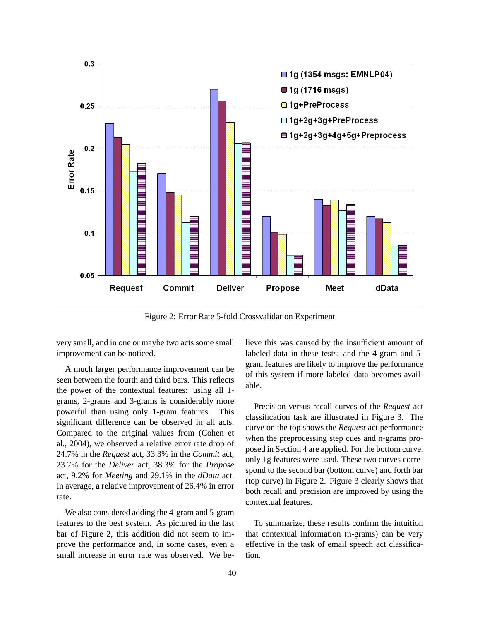

Figure 2: Error Rate 5-fold Crossvalidation Experiment

very small, and in one or maybe two acts some small improvement can be noticed.

A much larger performance improvement can be seen between the fourth and third bars. This reflects the power of the contextual features: using all 1 grams, 2-grams and 3-grams is considerably more powerful than using only 1-gram features. This significant difference can be observed in all acts. Compared to the original values from (Cohen et al., 2004), we observed a relative error rate drop of 24.7% in the *Request* act, 33.3% in the *Commit* act, 23.7% for the *Deliver* act, 38.3% for the *Propose* act, 9.2% for *Meeting* and 29.1% in the *dData* act. In average, a relative improvement of 26.4% in error rate.

We also considered adding the 4-gram and 5-gram features to the best system. As pictured in the last bar of Figure 2, this addition did not seem to improve the performance and, in some cases, even a small increase in error rate was observed. We believe this was caused by the insufficient amount of labeled data in these tests; and the 4-gram and 5 gram features are likely to improve the performance of this system if more labeled data becomes available.

Precision versus recall curves of the *Request* act classification task are illustrated in Figure 3. The curve on the top shows the *Request* act performance when the preprocessing step cues and n-grams proposed in Section 4 are applied. For the bottom curve, only 1g features were used. These two curves correspond to the second bar (bottom curve) and forth bar (top curve) in Figure 2. Figure 3 clearly shows that both recall and precision are improved by using the contextual features.

To summarize, these results confirm the intuition that contextual information (n-grams) can be very effective in the task of email speech act classification.